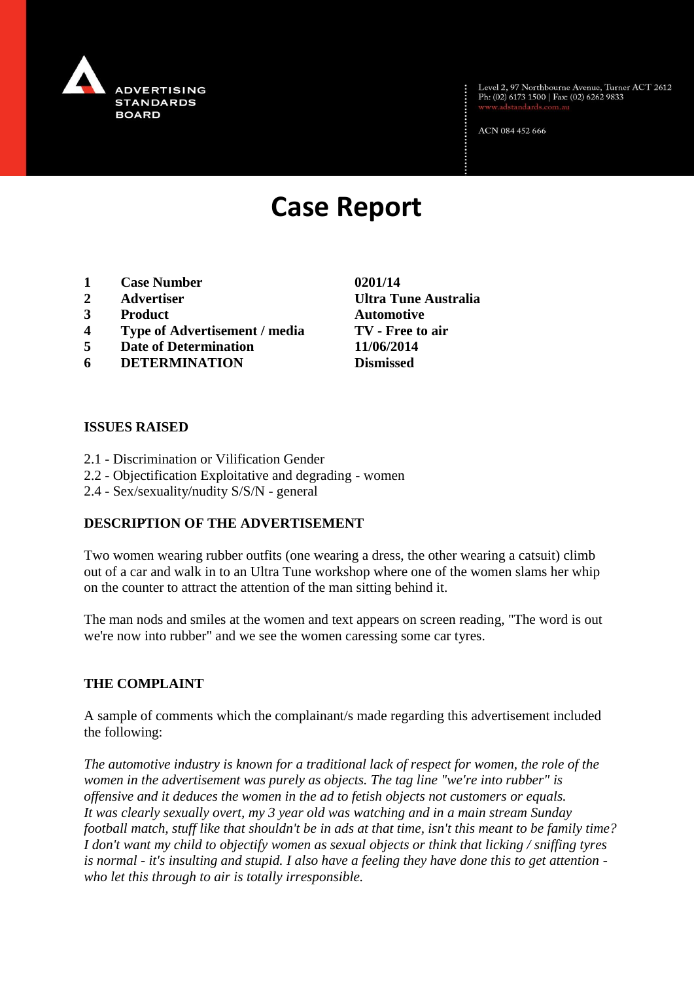

Level 2, 97 Northbourne Avenue, Turner ACT 2612<br>Ph: (02) 6173 1500 | Fax: (02) 6262 9833

ACN 084 452 666

# **Case Report**

- **1 Case Number 0201/14**
- **2 Advertiser Ultra Tune Australia**
- **3 Product Automotive**
- **4 Type of Advertisement / media TV - Free to air**
- **5 Date of Determination 11/06/2014**
- **6 DETERMINATION Dismissed**

## **ISSUES RAISED**

- 2.1 Discrimination or Vilification Gender
- 2.2 Objectification Exploitative and degrading women
- 2.4 Sex/sexuality/nudity S/S/N general

## **DESCRIPTION OF THE ADVERTISEMENT**

Two women wearing rubber outfits (one wearing a dress, the other wearing a catsuit) climb out of a car and walk in to an Ultra Tune workshop where one of the women slams her whip on the counter to attract the attention of the man sitting behind it.

The man nods and smiles at the women and text appears on screen reading, "The word is out we're now into rubber" and we see the women caressing some car tyres.

#### **THE COMPLAINT**

A sample of comments which the complainant/s made regarding this advertisement included the following:

*The automotive industry is known for a traditional lack of respect for women, the role of the women in the advertisement was purely as objects. The tag line "we're into rubber" is offensive and it deduces the women in the ad to fetish objects not customers or equals. It was clearly sexually overt, my 3 year old was watching and in a main stream Sunday football match, stuff like that shouldn't be in ads at that time, isn't this meant to be family time? I don't want my child to objectify women as sexual objects or think that licking / sniffing tyres is normal - it's insulting and stupid. I also have a feeling they have done this to get attention who let this through to air is totally irresponsible.*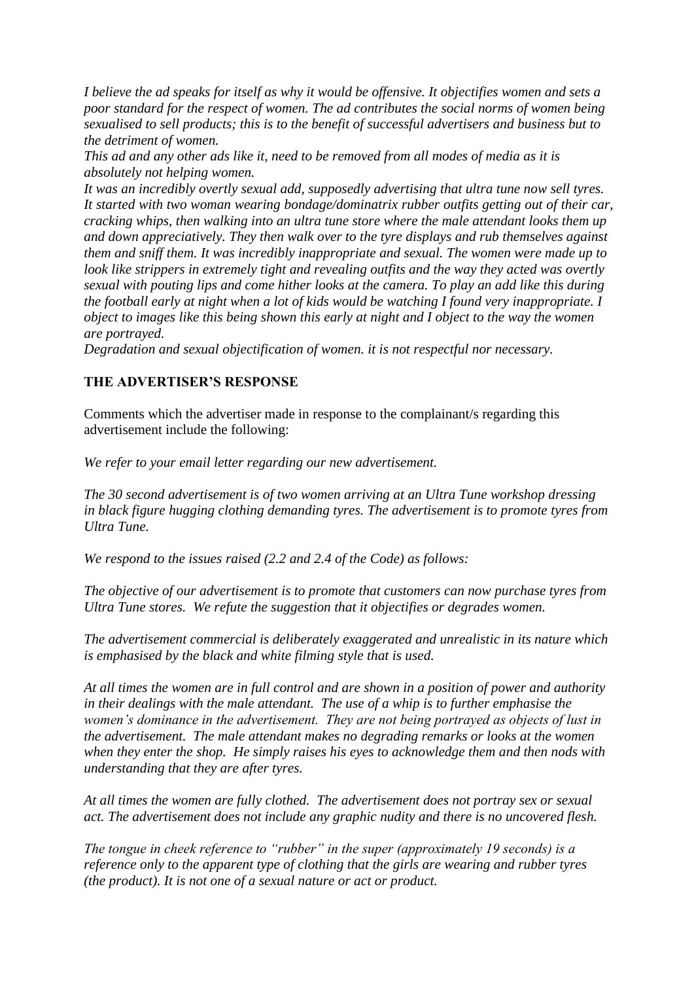*I believe the ad speaks for itself as why it would be offensive. It objectifies women and sets a poor standard for the respect of women. The ad contributes the social norms of women being sexualised to sell products; this is to the benefit of successful advertisers and business but to the detriment of women.*

*This ad and any other ads like it, need to be removed from all modes of media as it is absolutely not helping women.*

*It was an incredibly overtly sexual add, supposedly advertising that ultra tune now sell tyres. It started with two woman wearing bondage/dominatrix rubber outfits getting out of their car, cracking whips, then walking into an ultra tune store where the male attendant looks them up and down appreciatively. They then walk over to the tyre displays and rub themselves against them and sniff them. It was incredibly inappropriate and sexual. The women were made up to look like strippers in extremely tight and revealing outfits and the way they acted was overtly sexual with pouting lips and come hither looks at the camera. To play an add like this during the football early at night when a lot of kids would be watching I found very inappropriate. I object to images like this being shown this early at night and I object to the way the women are portrayed.*

*Degradation and sexual objectification of women. it is not respectful nor necessary.*

## **THE ADVERTISER'S RESPONSE**

Comments which the advertiser made in response to the complainant/s regarding this advertisement include the following:

*We refer to your email letter regarding our new advertisement.*

*The 30 second advertisement is of two women arriving at an Ultra Tune workshop dressing in black figure hugging clothing demanding tyres. The advertisement is to promote tyres from Ultra Tune.*

*We respond to the issues raised (2.2 and 2.4 of the Code) as follows:*

*The objective of our advertisement is to promote that customers can now purchase tyres from Ultra Tune stores. We refute the suggestion that it objectifies or degrades women.*

*The advertisement commercial is deliberately exaggerated and unrealistic in its nature which is emphasised by the black and white filming style that is used.*

*At all times the women are in full control and are shown in a position of power and authority in their dealings with the male attendant. The use of a whip is to further emphasise the women's dominance in the advertisement. They are not being portrayed as objects of lust in the advertisement. The male attendant makes no degrading remarks or looks at the women when they enter the shop. He simply raises his eyes to acknowledge them and then nods with understanding that they are after tyres.*

*At all times the women are fully clothed. The advertisement does not portray sex or sexual act. The advertisement does not include any graphic nudity and there is no uncovered flesh.*

*The tongue in cheek reference to "rubber" in the super (approximately 19 seconds) is a reference only to the apparent type of clothing that the girls are wearing and rubber tyres (the product). It is not one of a sexual nature or act or product.*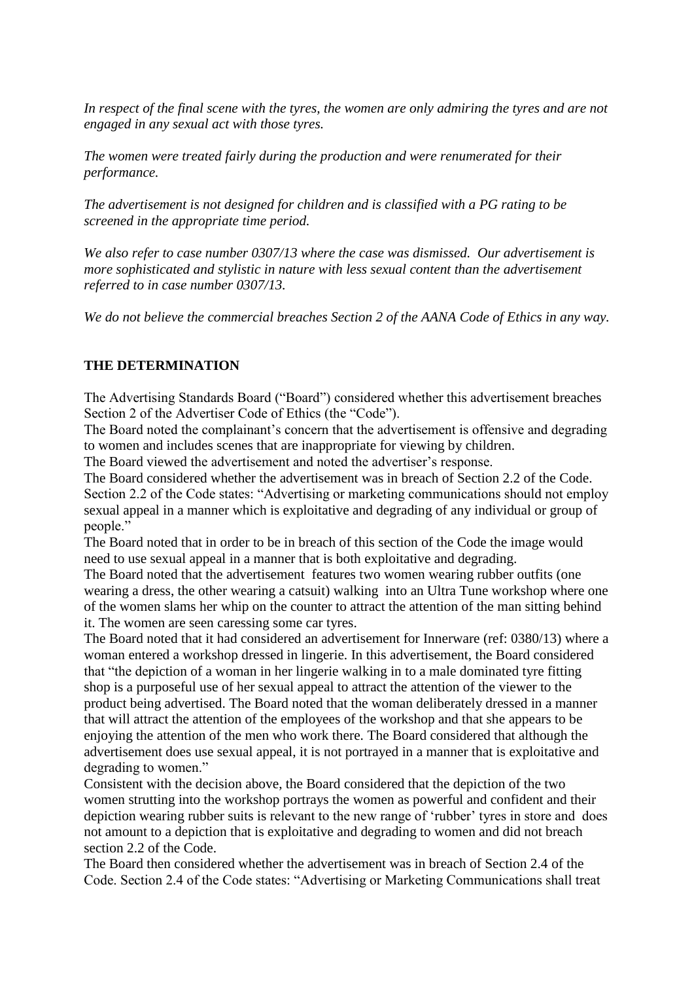*In respect of the final scene with the tyres, the women are only admiring the tyres and are not engaged in any sexual act with those tyres.*

*The women were treated fairly during the production and were renumerated for their performance.*

*The advertisement is not designed for children and is classified with a PG rating to be screened in the appropriate time period.*

*We also refer to case number 0307/13 where the case was dismissed. Our advertisement is more sophisticated and stylistic in nature with less sexual content than the advertisement referred to in case number 0307/13.*

*We do not believe the commercial breaches Section 2 of the AANA Code of Ethics in any way.*

## **THE DETERMINATION**

The Advertising Standards Board ("Board") considered whether this advertisement breaches Section 2 of the Advertiser Code of Ethics (the "Code").

The Board noted the complainant's concern that the advertisement is offensive and degrading to women and includes scenes that are inappropriate for viewing by children.

The Board viewed the advertisement and noted the advertiser's response.

The Board considered whether the advertisement was in breach of Section 2.2 of the Code. Section 2.2 of the Code states: "Advertising or marketing communications should not employ sexual appeal in a manner which is exploitative and degrading of any individual or group of people."

The Board noted that in order to be in breach of this section of the Code the image would need to use sexual appeal in a manner that is both exploitative and degrading.

The Board noted that the advertisement features two women wearing rubber outfits (one wearing a dress, the other wearing a catsuit) walking into an Ultra Tune workshop where one of the women slams her whip on the counter to attract the attention of the man sitting behind it. The women are seen caressing some car tyres.

The Board noted that it had considered an advertisement for Innerware (ref: 0380/13) where a woman entered a workshop dressed in lingerie. In this advertisement, the Board considered that "the depiction of a woman in her lingerie walking in to a male dominated tyre fitting shop is a purposeful use of her sexual appeal to attract the attention of the viewer to the product being advertised. The Board noted that the woman deliberately dressed in a manner that will attract the attention of the employees of the workshop and that she appears to be enjoying the attention of the men who work there. The Board considered that although the advertisement does use sexual appeal, it is not portrayed in a manner that is exploitative and degrading to women."

Consistent with the decision above, the Board considered that the depiction of the two women strutting into the workshop portrays the women as powerful and confident and their depiction wearing rubber suits is relevant to the new range of 'rubber' tyres in store and does not amount to a depiction that is exploitative and degrading to women and did not breach section 2.2 of the Code.

The Board then considered whether the advertisement was in breach of Section 2.4 of the Code. Section 2.4 of the Code states: "Advertising or Marketing Communications shall treat